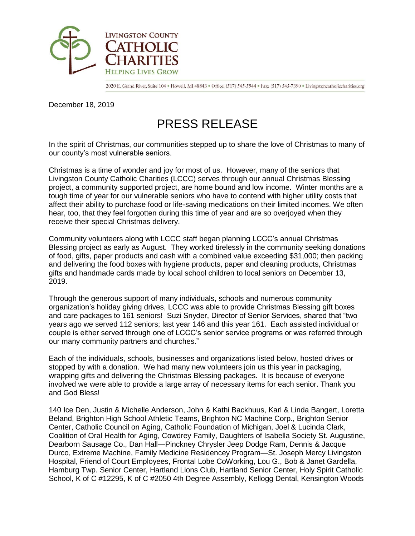

2020 E. Grand River, Suite 104 · Howell, MI 48843 · Office: (517) 545-5944 · Fax: (517) 545-7390 · Livingstoncatholiccharities.org

December 18, 2019

## PRESS RELEASE

In the spirit of Christmas, our communities stepped up to share the love of Christmas to many of our county's most vulnerable seniors.

Christmas is a time of wonder and joy for most of us. However, many of the seniors that Livingston County Catholic Charities (LCCC) serves through our annual Christmas Blessing project, a community supported project, are home bound and low income. Winter months are a tough time of year for our vulnerable seniors who have to contend with higher utility costs that affect their ability to purchase food or life-saving medications on their limited incomes. We often hear, too, that they feel forgotten during this time of year and are so overjoyed when they receive their special Christmas delivery.

Community volunteers along with LCCC staff began planning LCCC's annual Christmas Blessing project as early as August. They worked tirelessly in the community seeking donations of food, gifts, paper products and cash with a combined value exceeding \$31,000; then packing and delivering the food boxes with hygiene products, paper and cleaning products, Christmas gifts and handmade cards made by local school children to local seniors on December 13, 2019.

Through the generous support of many individuals, schools and numerous community organization's holiday giving drives, LCCC was able to provide Christmas Blessing gift boxes and care packages to 161 seniors! Suzi Snyder, Director of Senior Services, shared that "two years ago we served 112 seniors; last year 146 and this year 161. Each assisted individual or couple is either served through one of LCCC's senior service programs or was referred through our many community partners and churches."

Each of the individuals, schools, businesses and organizations listed below, hosted drives or stopped by with a donation. We had many new volunteers join us this year in packaging, wrapping gifts and delivering the Christmas Blessing packages. It is because of everyone involved we were able to provide a large array of necessary items for each senior. Thank you and God Bless!

140 Ice Den, Justin & Michelle Anderson, John & Kathi Backhuus, Karl & Linda Bangert, Loretta Beland, Brighton High School Athletic Teams, Brighton NC Machine Corp., Brighton Senior Center, Catholic Council on Aging, Catholic Foundation of Michigan, Joel & Lucinda Clark, Coalition of Oral Health for Aging, Cowdrey Family, Daughters of Isabella Society St. Augustine, Dearborn Sausage Co., Dan Hall—Pinckney Chrysler Jeep Dodge Ram, Dennis & Jacque Durco, Extreme Machine, Family Medicine Residencey Program—St. Joseph Mercy Livingston Hospital, Friend of Court Employees, Frontal Lobe CoWorking, Lou G., Bob & Janet Gardella, Hamburg Twp. Senior Center, Hartland Lions Club, Hartland Senior Center, Holy Spirit Catholic School, K of C #12295, K of C #2050 4th Degree Assembly, Kellogg Dental, Kensington Woods